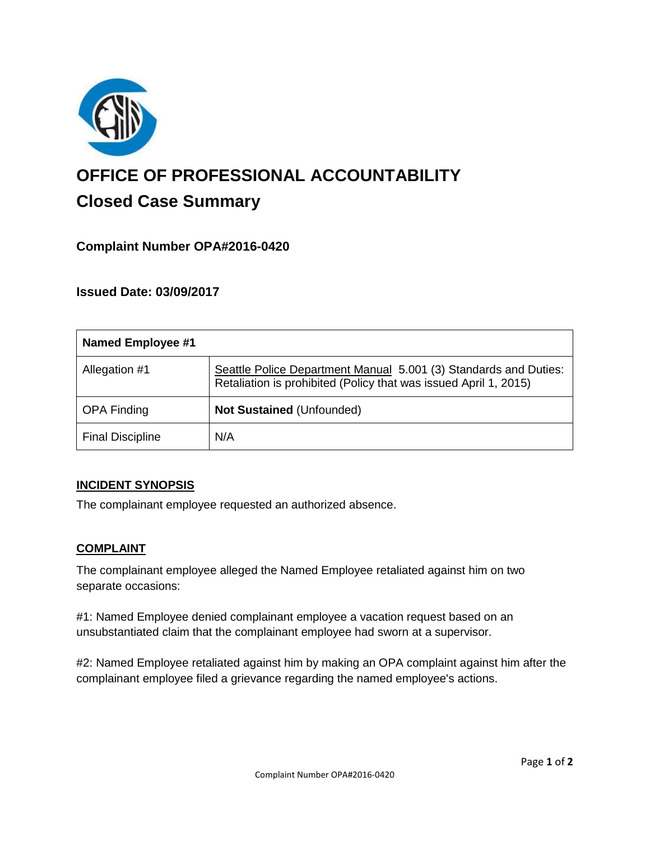

# **OFFICE OF PROFESSIONAL ACCOUNTABILITY Closed Case Summary**

# **Complaint Number OPA#2016-0420**

**Issued Date: 03/09/2017**

| <b>Named Employee #1</b> |                                                                                                                                      |
|--------------------------|--------------------------------------------------------------------------------------------------------------------------------------|
| Allegation #1            | Seattle Police Department Manual 5.001 (3) Standards and Duties:<br>Retaliation is prohibited (Policy that was issued April 1, 2015) |
| <b>OPA Finding</b>       | <b>Not Sustained (Unfounded)</b>                                                                                                     |
| <b>Final Discipline</b>  | N/A                                                                                                                                  |

## **INCIDENT SYNOPSIS**

The complainant employee requested an authorized absence.

### **COMPLAINT**

The complainant employee alleged the Named Employee retaliated against him on two separate occasions:

#1: Named Employee denied complainant employee a vacation request based on an unsubstantiated claim that the complainant employee had sworn at a supervisor.

#2: Named Employee retaliated against him by making an OPA complaint against him after the complainant employee filed a grievance regarding the named employee's actions.